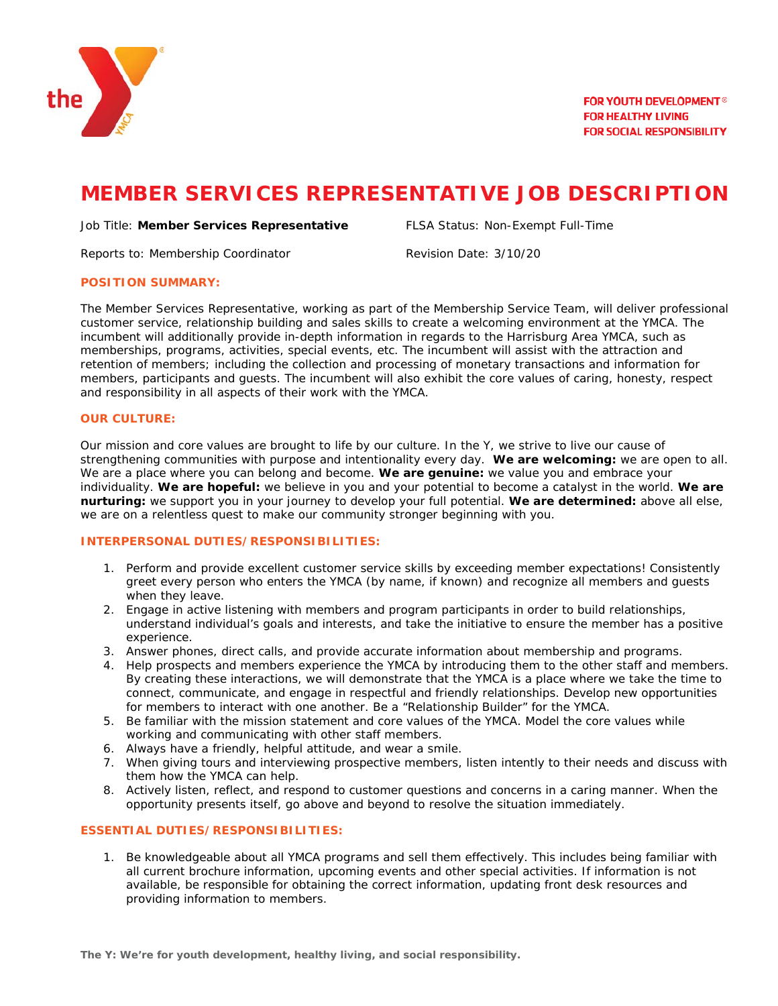

# **MEMBER SERVICES REPRESENTATIVE JOB DESCRIPTION**

#### Job Title: **Member Services Representative** FLSA Status: Non-Exempt Full-Time

Reports to: Membership Coordinator **Revision Date: 3/10/20** 

#### **POSITION SUMMARY:**

The Member Services Representative, working as part of the Membership Service Team, will deliver professional customer service, relationship building and sales skills to create a welcoming environment at the YMCA. The incumbent will additionally provide in-depth information in regards to the Harrisburg Area YMCA, such as memberships, programs, activities, special events, etc. The incumbent will assist with the attraction and retention of members; including the collection and processing of monetary transactions and information for members, participants and guests. The incumbent will also exhibit the core values of caring, honesty, respect and responsibility in all aspects of their work with the YMCA.

#### **OUR CULTURE:**

Our mission and core values are brought to life by our culture. In the Y, we strive to live our cause of strengthening communities with purpose and intentionality every day. **We are welcoming:** we are open to all. We are a place where you can belong and become. **We are genuine:** we value you and embrace your individuality. **We are hopeful:** we believe in you and your potential to become a catalyst in the world. **We are nurturing:** we support you in your journey to develop your full potential. **We are determined:** above all else, we are on a relentless quest to make our community stronger beginning with you.

## **INTERPERSONAL DUTIES/RESPONSIBILITIES:**

- 1. Perform and provide excellent customer service skills by exceeding member expectations! Consistently greet every person who enters the YMCA (by name, if known) and recognize all members and guests when they leave.
- 2. Engage in active listening with members and program participants in order to build relationships, understand individual's goals and interests, and take the initiative to ensure the member has a positive experience.
- 3. Answer phones, direct calls, and provide accurate information about membership and programs.
- 4. Help prospects and members experience the YMCA by introducing them to the other staff and members. By creating these interactions, we will demonstrate that the YMCA is a place where we take the time to connect, communicate, and engage in respectful and friendly relationships. Develop new opportunities for members to interact with one another. Be a "Relationship Builder" for the YMCA.
- 5. Be familiar with the mission statement and core values of the YMCA. Model the core values while working and communicating with other staff members.
- 6. Always have a friendly, helpful attitude, and wear a smile.
- 7. When giving tours and interviewing prospective members, listen intently to their needs and discuss with them how the YMCA can help.
- 8. Actively listen, reflect, and respond to customer questions and concerns in a caring manner. When the opportunity presents itself, go above and beyond to resolve the situation immediately.

#### **ESSENTIAL DUTIES/RESPONSIBILITIES:**

1. Be knowledgeable about all YMCA programs and sell them effectively. This includes being familiar with all current brochure information, upcoming events and other special activities. If information is not available, be responsible for obtaining the correct information, updating front desk resources and providing information to members.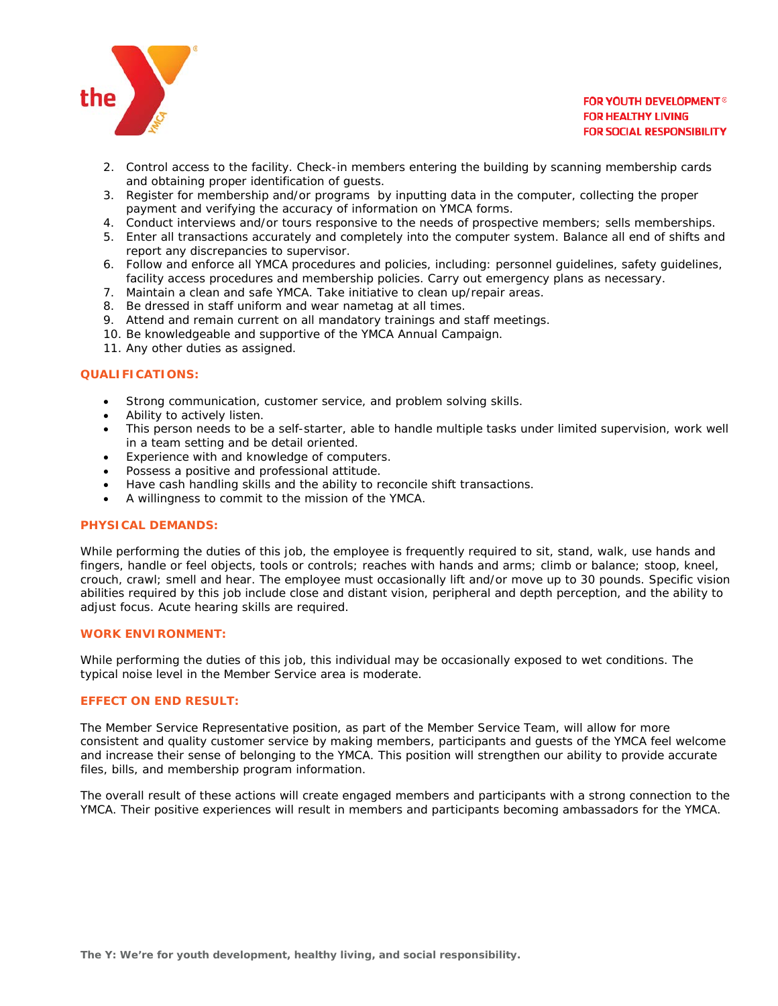

### **FOR YOUTH DEVELOPMENT<sup>®</sup> FOR HEALTHY LIVING FOR SOCIAL RESPONSIBILITY**

- 2. Control access to the facility. Check-in members entering the building by scanning membership cards and obtaining proper identification of guests.
- 3. Register for membership and/or programs by inputting data in the computer, collecting the proper payment and verifying the accuracy of information on YMCA forms.
- 4. Conduct interviews and/or tours responsive to the needs of prospective members; sells memberships.
- 5. Enter all transactions accurately and completely into the computer system. Balance all end of shifts and report any discrepancies to supervisor.
- 6. Follow and enforce all YMCA procedures and policies, including: personnel guidelines, safety guidelines, facility access procedures and membership policies. Carry out emergency plans as necessary.
- 7. Maintain a clean and safe YMCA. Take initiative to clean up/repair areas.
- 8. Be dressed in staff uniform and wear nametag at all times.
- 9. Attend and remain current on all mandatory trainings and staff meetings.
- 10. Be knowledgeable and supportive of the YMCA Annual Campaign.
- 11. Any other duties as assigned.

#### **QUALIFICATIONS:**

- Strong communication, customer service, and problem solving skills.
- Ability to actively listen.
- This person needs to be a self-starter, able to handle multiple tasks under limited supervision, work well in a team setting and be detail oriented.
- Experience with and knowledge of computers.
- Possess a positive and professional attitude.
- Have cash handling skills and the ability to reconcile shift transactions.
- A willingness to commit to the mission of the YMCA.

## **PHYSICAL DEMANDS:**

While performing the duties of this job, the employee is frequently required to sit, stand, walk, use hands and fingers, handle or feel objects, tools or controls; reaches with hands and arms; climb or balance; stoop, kneel, crouch, crawl; smell and hear. The employee must occasionally lift and/or move up to 30 pounds. Specific vision abilities required by this job include close and distant vision, peripheral and depth perception, and the ability to adjust focus. Acute hearing skills are required.

#### **WORK ENVIRONMENT:**

While performing the duties of this job, this individual may be occasionally exposed to wet conditions. The typical noise level in the Member Service area is moderate.

#### **EFFECT ON END RESULT:**

The Member Service Representative position, as part of the Member Service Team, will allow for more consistent and quality customer service by making members, participants and guests of the YMCA feel welcome and increase their sense of belonging to the YMCA. This position will strengthen our ability to provide accurate files, bills, and membership program information.

The overall result of these actions will create engaged members and participants with a strong connection to the YMCA. Their positive experiences will result in members and participants becoming ambassadors for the YMCA.